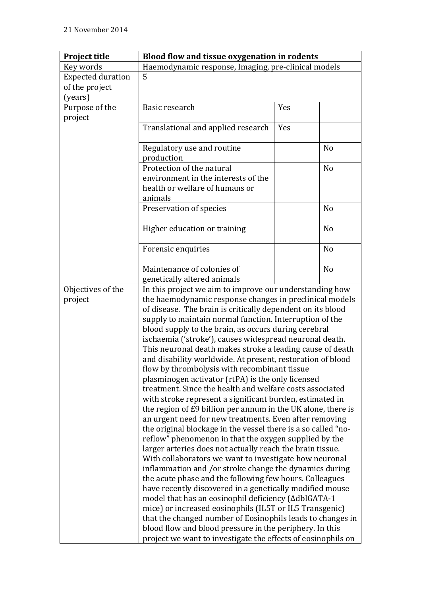| <b>Project title</b>     | Blood flow and tissue oxygenation in rodents                  |     |                |
|--------------------------|---------------------------------------------------------------|-----|----------------|
| Key words                | Haemodynamic response, Imaging, pre-clinical models           |     |                |
| <b>Expected duration</b> | 5                                                             |     |                |
| of the project           |                                                               |     |                |
| (years)                  |                                                               |     |                |
| Purpose of the           | Basic research                                                | Yes |                |
| project                  |                                                               |     |                |
|                          | Translational and applied research                            | Yes |                |
|                          |                                                               |     |                |
|                          | Regulatory use and routine                                    |     | N <sub>o</sub> |
|                          | production                                                    |     |                |
|                          | Protection of the natural                                     |     | N <sub>o</sub> |
|                          | environment in the interests of the                           |     |                |
|                          | health or welfare of humans or                                |     |                |
|                          | animals                                                       |     |                |
|                          | Preservation of species                                       |     | N <sub>0</sub> |
|                          |                                                               |     |                |
|                          | Higher education or training                                  |     | N <sub>o</sub> |
|                          |                                                               |     |                |
|                          | Forensic enquiries                                            |     | N <sub>o</sub> |
|                          |                                                               |     |                |
|                          | Maintenance of colonies of                                    |     | N <sub>o</sub> |
|                          | genetically altered animals                                   |     |                |
| Objectives of the        | In this project we aim to improve our understanding how       |     |                |
| project                  | the haemodynamic response changes in preclinical models       |     |                |
|                          | of disease. The brain is critically dependent on its blood    |     |                |
|                          | supply to maintain normal function. Interruption of the       |     |                |
|                          | blood supply to the brain, as occurs during cerebral          |     |                |
|                          | ischaemia ('stroke'), causes widespread neuronal death.       |     |                |
|                          | This neuronal death makes stroke a leading cause of death     |     |                |
|                          | and disability worldwide. At present, restoration of blood    |     |                |
|                          | flow by thrombolysis with recombinant tissue                  |     |                |
|                          | plasminogen activator (rtPA) is the only licensed             |     |                |
|                          | treatment. Since the health and welfare costs associated      |     |                |
|                          | with stroke represent a significant burden, estimated in      |     |                |
|                          | the region of £9 billion per annum in the UK alone, there is  |     |                |
|                          | an urgent need for new treatments. Even after removing        |     |                |
|                          | the original blockage in the vessel there is a so called "no- |     |                |
|                          | reflow" phenomenon in that the oxygen supplied by the         |     |                |
|                          | larger arteries does not actually reach the brain tissue.     |     |                |
|                          | With collaborators we want to investigate how neuronal        |     |                |
|                          | inflammation and /or stroke change the dynamics during        |     |                |
|                          | the acute phase and the following few hours. Colleagues       |     |                |
|                          | have recently discovered in a genetically modified mouse      |     |                |
|                          | model that has an eosinophil deficiency (∆dblGATA-1           |     |                |
|                          | mice) or increased eosinophils (IL5T or IL5 Transgenic)       |     |                |
|                          | that the changed number of Eosinophils leads to changes in    |     |                |
|                          | blood flow and blood pressure in the periphery. In this       |     |                |
|                          | project we want to investigate the effects of eosinophils on  |     |                |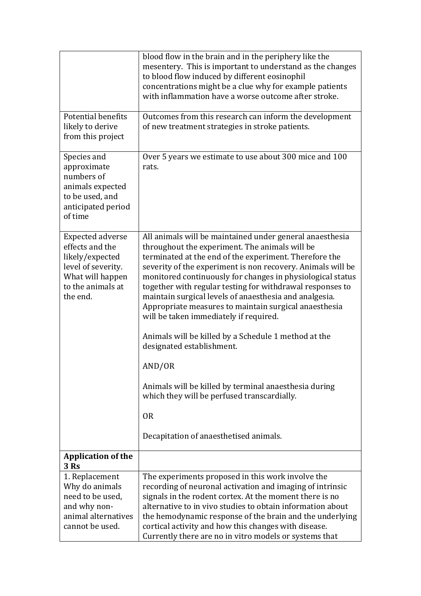|                                                                                                                                          | blood flow in the brain and in the periphery like the<br>mesentery. This is important to understand as the changes<br>to blood flow induced by different eosinophil                                                                                                                                                                                                                                                                                                                                                         |  |
|------------------------------------------------------------------------------------------------------------------------------------------|-----------------------------------------------------------------------------------------------------------------------------------------------------------------------------------------------------------------------------------------------------------------------------------------------------------------------------------------------------------------------------------------------------------------------------------------------------------------------------------------------------------------------------|--|
|                                                                                                                                          | concentrations might be a clue why for example patients<br>with inflammation have a worse outcome after stroke.                                                                                                                                                                                                                                                                                                                                                                                                             |  |
| <b>Potential benefits</b><br>likely to derive<br>from this project                                                                       | Outcomes from this research can inform the development<br>of new treatment strategies in stroke patients.                                                                                                                                                                                                                                                                                                                                                                                                                   |  |
| Species and<br>approximate<br>numbers of<br>animals expected<br>to be used, and<br>anticipated period<br>of time                         | Over 5 years we estimate to use about 300 mice and 100<br>rats.                                                                                                                                                                                                                                                                                                                                                                                                                                                             |  |
| <b>Expected adverse</b><br>effects and the<br>likely/expected<br>level of severity.<br>What will happen<br>to the animals at<br>the end. | All animals will be maintained under general anaesthesia<br>throughout the experiment. The animals will be<br>terminated at the end of the experiment. Therefore the<br>severity of the experiment is non recovery. Animals will be<br>monitored continuously for changes in physiological status<br>together with regular testing for withdrawal responses to<br>maintain surgical levels of anaesthesia and analgesia.<br>Appropriate measures to maintain surgical anaesthesia<br>will be taken immediately if required. |  |
|                                                                                                                                          | Animals will be killed by a Schedule 1 method at the<br>designated establishment.                                                                                                                                                                                                                                                                                                                                                                                                                                           |  |
|                                                                                                                                          | AND/OR                                                                                                                                                                                                                                                                                                                                                                                                                                                                                                                      |  |
|                                                                                                                                          | Animals will be killed by terminal anaesthesia during<br>which they will be perfused transcardially.                                                                                                                                                                                                                                                                                                                                                                                                                        |  |
|                                                                                                                                          | <b>OR</b>                                                                                                                                                                                                                                                                                                                                                                                                                                                                                                                   |  |
|                                                                                                                                          | Decapitation of anaesthetised animals.                                                                                                                                                                                                                                                                                                                                                                                                                                                                                      |  |
| <b>Application of the</b><br>3 Rs                                                                                                        |                                                                                                                                                                                                                                                                                                                                                                                                                                                                                                                             |  |
| 1. Replacement                                                                                                                           | The experiments proposed in this work involve the                                                                                                                                                                                                                                                                                                                                                                                                                                                                           |  |
| Why do animals<br>need to be used,                                                                                                       | recording of neuronal activation and imaging of intrinsic<br>signals in the rodent cortex. At the moment there is no                                                                                                                                                                                                                                                                                                                                                                                                        |  |
| and why non-                                                                                                                             | alternative to in vivo studies to obtain information about                                                                                                                                                                                                                                                                                                                                                                                                                                                                  |  |
| animal alternatives                                                                                                                      | the hemodynamic response of the brain and the underlying                                                                                                                                                                                                                                                                                                                                                                                                                                                                    |  |
| cannot be used.                                                                                                                          | cortical activity and how this changes with disease.<br>Currently there are no in vitro models or systems that                                                                                                                                                                                                                                                                                                                                                                                                              |  |